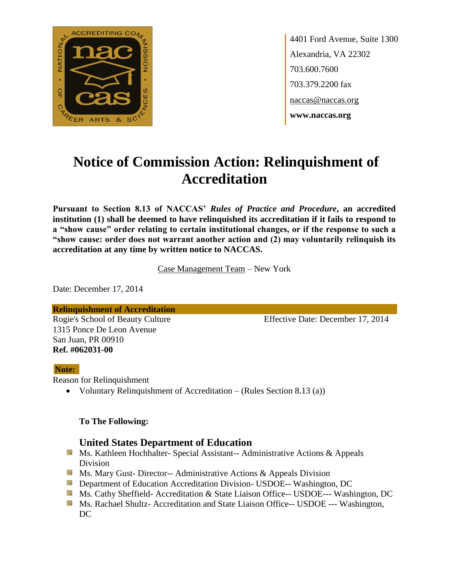

4401 Ford Avenue, Suite 1300 Alexandria, VA 22302 703.600.7600 703.379.2200 fax naccas@naccas.org **www.naccas.org**

# **Notice of Commission Action: Relinquishment of Accreditation**

**Pursuant to Section 8.13 of NACCAS'** *Rules of Practice and Procedure***, an accredited institution (1) shall be deemed to have relinquished its accreditation if it fails to respond to a "show cause" order relating to certain institutional changes, or if the response to such a "show cause: order does not warrant another action and (2) may voluntarily relinquish its accreditation at any time by written notice to NACCAS.**

Case Management Team – New York

Date: December 17, 2014

### **Relinquishment of Accreditation**

1315 Ponce De Leon Avenue San Juan, PR 00910 **Ref. #062031-00**

Rogie's School of Beauty Culture Effective Date: December 17, 2014

### **Note:**

Reason for Relinquishment

Voluntary Relinquishment of Accreditation – (Rules Section 8.13 (a))

### **To The Following:**

### **United States Department of Education**

- **Ms. Kathleen Hochhalter- Special Assistant-- Administrative Actions & Appeals** Division
- **Ms. Mary Gust- Director-- Administrative Actions & Appeals Division**
- **Department of Education Accreditation Division- USDOE-- Washington, DC**
- Ms. Cathy Sheffield- Accreditation & State Liaison Office-- USDOE--- Washington, DC
- **MS. Rachael Shultz- Accreditation and State Liaison Office-- USDOE --- Washington,** DC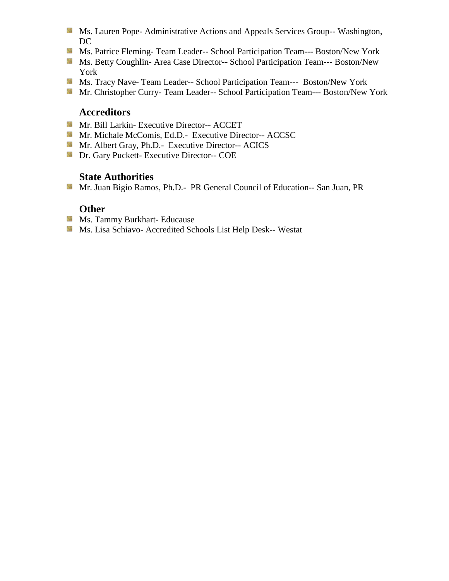- **MS. Lauren Pope- Administrative Actions and Appeals Services Group-- Washington,** DC
- Ms. Patrice Fleming-Team Leader-- School Participation Team--- Boston/New York
- Ms. Betty Coughlin- Area Case Director-- School Participation Team--- Boston/New York
- Ms. Tracy Nave- Team Leader-- School Participation Team--- Boston/New York
- Mr. Christopher Curry- Team Leader-- School Participation Team--- Boston/New York

## **Accreditors**

- Mr. Bill Larkin- Executive Director-- ACCET
- Mr. Michale McComis, Ed.D.- Executive Director-- ACCSC
- Mr. Albert Gray, Ph.D.- Executive Director-- ACICS
- **Dr.** Gary Puckett- Executive Director-- COE

## **State Authorities**

Mr. Juan Bigio Ramos, Ph.D.- PR General Council of Education-- San Juan, PR

### **Other**

- **Ms. Tammy Burkhart- Educause**
- Ms. Lisa Schiavo- Accredited Schools List Help Desk-- Westat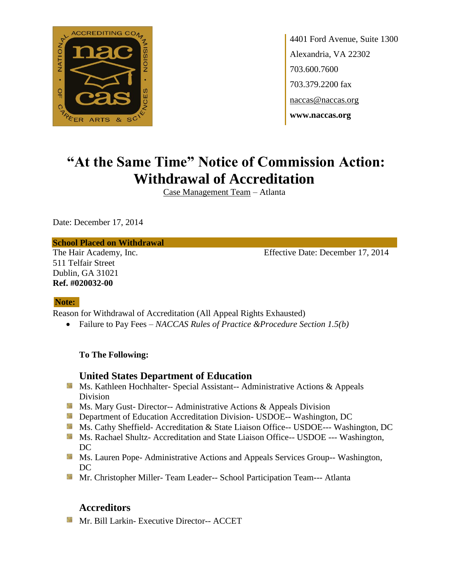

4401 Ford Avenue, Suite 1300 Alexandria, VA 22302 703.600.7600 703.379.2200 fax naccas@naccas.org **www.naccas.org**

## **"At the Same Time" Notice of Commission Action: Withdrawal of Accreditation**

Case Management Team – Atlanta

Date: December 17, 2014

#### **School Placed on Withdrawal**

511 Telfair Street Dublin, GA 31021 **Ref. #020032-00**

The Hair Academy, Inc. Effective Date: December 17, 2014

### **Note:**

Reason for Withdrawal of Accreditation (All Appeal Rights Exhausted)

Failure to Pay Fees – *NACCAS Rules of Practice &Procedure Section 1.5(b)*

**To The Following:**

### **United States Department of Education**

- Ms. Kathleen Hochhalter- Special Assistant-- Administrative Actions & Appeals Division
- **MS. Mary Gust- Director-- Administrative Actions & Appeals Division**
- **Department of Education Accreditation Division- USDOE-- Washington, DC**
- Ms. Cathy Sheffield- Accreditation & State Liaison Office-- USDOE--- Washington, DC
- **Ms. Rachael Shultz- Accreditation and State Liaison Office-- USDOE --- Washington,** DC
- **MS. Lauren Pope- Administrative Actions and Appeals Services Group-- Washington,** DC
- Mr. Christopher Miller- Team Leader-- School Participation Team--- Atlanta

## **Accreditors**

**Mr. Bill Larkin- Executive Director-- ACCET**